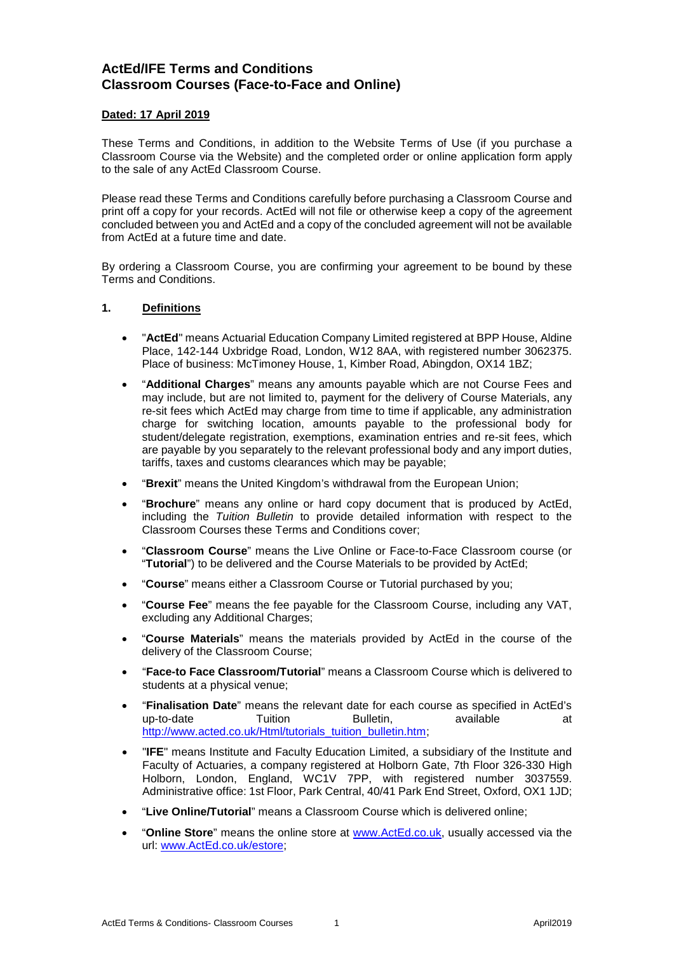# **ActEd/IFE Terms and Conditions Classroom Courses (Face-to-Face and Online)**

# **Dated: 17 April 2019**

These Terms and Conditions, in addition to the Website Terms of Use (if you purchase a Classroom Course via the Website) and the completed order or online application form apply to the sale of any ActEd Classroom Course.

Please read these Terms and Conditions carefully before purchasing a Classroom Course and print off a copy for your records. ActEd will not file or otherwise keep a copy of the agreement concluded between you and ActEd and a copy of the concluded agreement will not be available from ActEd at a future time and date.

By ordering a Classroom Course, you are confirming your agreement to be bound by these Terms and Conditions.

# **1. Definitions**

- "**ActEd**" means Actuarial Education Company Limited registered at BPP House, Aldine Place, 142-144 Uxbridge Road, London, W12 8AA, with registered number 3062375. Place of business: McTimoney House, 1, Kimber Road, Abingdon, OX14 1BZ;
- "**Additional Charges**" means any amounts payable which are not Course Fees and may include, but are not limited to, payment for the delivery of Course Materials, any re-sit fees which ActEd may charge from time to time if applicable, any administration charge for switching location, amounts payable to the professional body for student/delegate registration, exemptions, examination entries and re-sit fees, which are payable by you separately to the relevant professional body and any import duties, tariffs, taxes and customs clearances which may be payable;
- "**Brexit**" means the United Kingdom's withdrawal from the European Union;
- "**Brochure**" means any online or hard copy document that is produced by ActEd, including the *Tuition Bulletin* to provide detailed information with respect to the Classroom Courses these Terms and Conditions cover;
- "**Classroom Course**" means the Live Online or Face-to-Face Classroom course (or "**Tutorial**") to be delivered and the Course Materials to be provided by ActEd;
- "**Course**" means either a Classroom Course or Tutorial purchased by you;
- "**Course Fee**" means the fee payable for the Classroom Course, including any VAT, excluding any Additional Charges;
- "**Course Materials**" means the materials provided by ActEd in the course of the delivery of the Classroom Course;
- "**Face-to Face Classroom/Tutorial**" means a Classroom Course which is delivered to students at a physical venue;
- "**Finalisation Date**" means the relevant date for each course as specified in ActEd's up-to-date Tuition Bulletin, available at [http://www.acted.co.uk/Html/tutorials\\_tuition\\_bulletin.htm;](http://www.acted.co.uk/Html/tutorials_tuition_bulletin.htm)
- "**IFE**" means Institute and Faculty Education Limited, a subsidiary of the Institute and Faculty of Actuaries, a company registered at Holborn Gate, 7th Floor 326-330 High Holborn, London, England, WC1V 7PP, with registered number 3037559. Administrative office: 1st Floor, Park Central, 40/41 Park End Street, Oxford, OX1 1JD;
- "**Live Online/Tutorial**" means a Classroom Course which is delivered online;
- "**Online Store**" means the online store at [www.ActEd.co.uk,](http://www.acted.co.uk/) usually accessed via the url: [www.ActEd.co.uk/estore;](http://www.acted.co.uk/estore)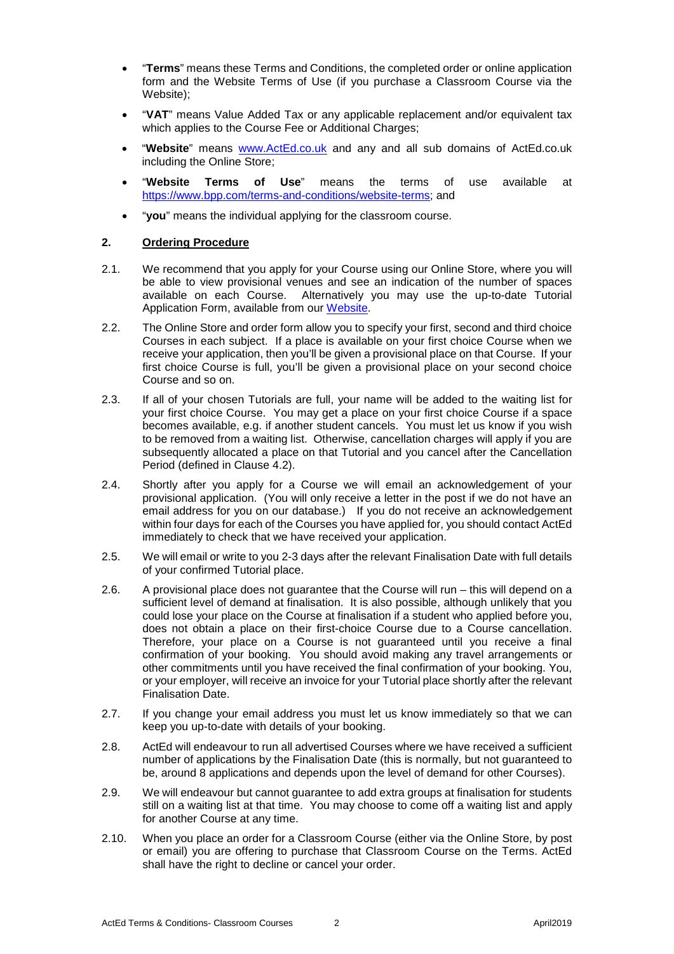- "**Terms**" means these Terms and Conditions, the completed order or online application form and the Website Terms of Use (if you purchase a Classroom Course via the Website);
- "**VAT**" means Value Added Tax or any applicable replacement and/or equivalent tax which applies to the Course Fee or Additional Charges;
- "**Website**" means [www.ActEd.co.uk](http://www.acted.co.uk/) and any and all sub domains of ActEd.co.uk including the Online Store;
- "**Website Terms of Use**" means the terms of use available at [https://www.bpp.com/terms-and-conditions/website-terms;](https://www.bpp.com/terms-and-conditions/website-terms) and
- "**you**" means the individual applying for the classroom course.

# **2. Ordering Procedure**

- 2.1. We recommend that you apply for your Course using our Online Store, where you will be able to view provisional venues and see an indication of the number of spaces available on each Course. Alternatively you may use the up-to-date Tutorial Application Form, available from ou[r Website.](http://www.acted.co.uk/)
- 2.2. The Online Store and order form allow you to specify your first, second and third choice Courses in each subject. If a place is available on your first choice Course when we receive your application, then you'll be given a provisional place on that Course. If your first choice Course is full, you'll be given a provisional place on your second choice Course and so on.
- 2.3. If all of your chosen Tutorials are full, your name will be added to the waiting list for your first choice Course. You may get a place on your first choice Course if a space becomes available, e.g. if another student cancels. You must let us know if you wish to be removed from a waiting list. Otherwise, cancellation charges will apply if you are subsequently allocated a place on that Tutorial and you cancel after the Cancellation Period (defined in Clause [4.2\)](#page-3-0).
- 2.4. Shortly after you apply for a Course we will email an acknowledgement of your provisional application. (You will only receive a letter in the post if we do not have an email address for you on our database.) If you do not receive an acknowledgement within four days for each of the Courses you have applied for, you should contact ActEd immediately to check that we have received your application.
- 2.5. We will email or write to you 2-3 days after the relevant Finalisation Date with full details of your confirmed Tutorial place.
- 2.6. A provisional place does not guarantee that the Course will run this will depend on a sufficient level of demand at finalisation. It is also possible, although unlikely that you could lose your place on the Course at finalisation if a student who applied before you, does not obtain a place on their first-choice Course due to a Course cancellation. Therefore, your place on a Course is not guaranteed until you receive a final confirmation of your booking. You should avoid making any travel arrangements or other commitments until you have received the final confirmation of your booking. You, or your employer, will receive an invoice for your Tutorial place shortly after the relevant Finalisation Date.
- 2.7. If you change your email address you must let us know immediately so that we can keep you up-to-date with details of your booking.
- 2.8. ActEd will endeavour to run all advertised Courses where we have received a sufficient number of applications by the Finalisation Date (this is normally, but not guaranteed to be, around 8 applications and depends upon the level of demand for other Courses).
- 2.9. We will endeavour but cannot guarantee to add extra groups at finalisation for students still on a waiting list at that time. You may choose to come off a waiting list and apply for another Course at any time.
- 2.10. When you place an order for a Classroom Course (either via the Online Store, by post or email) you are offering to purchase that Classroom Course on the Terms. ActEd shall have the right to decline or cancel your order.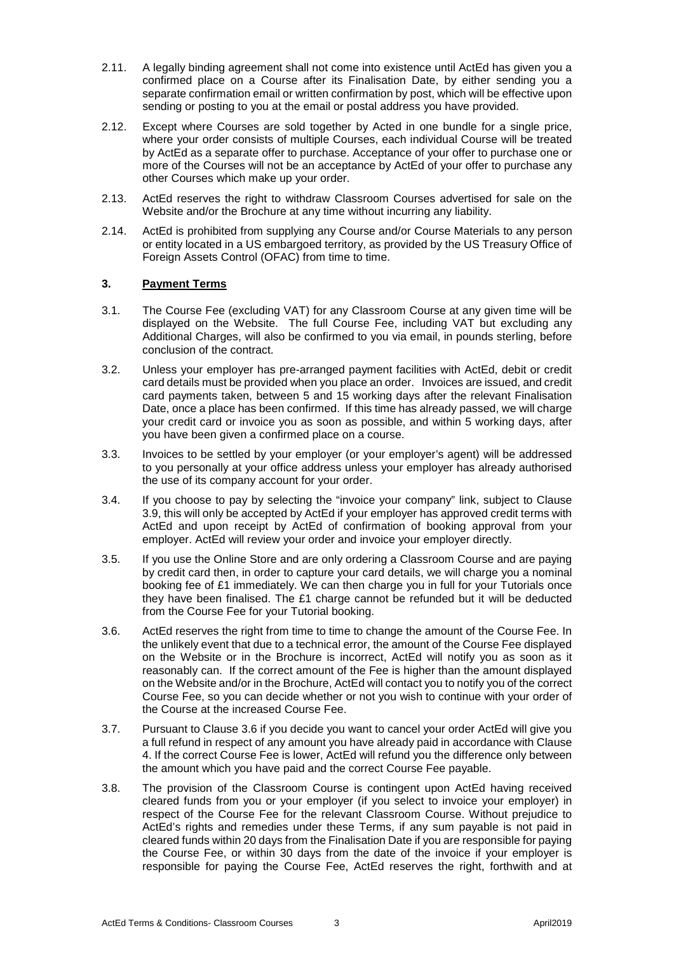- <span id="page-2-1"></span>2.11. A legally binding agreement shall not come into existence until ActEd has given you a confirmed place on a Course after its Finalisation Date, by either sending you a separate confirmation email or written confirmation by post, which will be effective upon sending or posting to you at the email or postal address you have provided.
- 2.12. Except where Courses are sold together by Acted in one bundle for a single price, where your order consists of multiple Courses, each individual Course will be treated by ActEd as a separate offer to purchase. Acceptance of your offer to purchase one or more of the Courses will not be an acceptance by ActEd of your offer to purchase any other Courses which make up your order.
- 2.13. ActEd reserves the right to withdraw Classroom Courses advertised for sale on the Website and/or the Brochure at any time without incurring any liability.
- 2.14. ActEd is prohibited from supplying any Course and/or Course Materials to any person or entity located in a US embargoed territory, as provided by the US Treasury Office of Foreign Assets Control (OFAC) from time to time.

# **3. Payment Terms**

- 3.1. The Course Fee (excluding VAT) for any Classroom Course at any given time will be displayed on the Website. The full Course Fee, including VAT but excluding any Additional Charges, will also be confirmed to you via email, in pounds sterling, before conclusion of the contract.
- 3.2. Unless your employer has pre-arranged payment facilities with ActEd, debit or credit card details must be provided when you place an order. Invoices are issued, and credit card payments taken, between 5 and 15 working days after the relevant Finalisation Date, once a place has been confirmed. If this time has already passed, we will charge your credit card or invoice you as soon as possible, and within 5 working days, after you have been given a confirmed place on a course.
- 3.3. Invoices to be settled by your employer (or your employer's agent) will be addressed to you personally at your office address unless your employer has already authorised the use of its company account for your order.
- 3.4. If you choose to pay by selecting the "invoice your company" link, subject to Clause [3.9,](#page-3-1) this will only be accepted by ActEd if your employer has approved credit terms with ActEd and upon receipt by ActEd of confirmation of booking approval from your employer. ActEd will review your order and invoice your employer directly.
- 3.5. If you use the Online Store and are only ordering a Classroom Course and are paying by credit card then, in order to capture your card details, we will charge you a nominal booking fee of £1 immediately. We can then charge you in full for your Tutorials once they have been finalised. The £1 charge cannot be refunded but it will be deducted from the Course Fee for your Tutorial booking.
- <span id="page-2-0"></span>3.6. ActEd reserves the right from time to time to change the amount of the Course Fee. In the unlikely event that due to a technical error, the amount of the Course Fee displayed on the Website or in the Brochure is incorrect, ActEd will notify you as soon as it reasonably can. If the correct amount of the Fee is higher than the amount displayed on the Website and/or in the Brochure, ActEd will contact you to notify you of the correct Course Fee, so you can decide whether or not you wish to continue with your order of the Course at the increased Course Fee.
- 3.7. Pursuant to Clause [3.6](#page-2-0) if you decide you want to cancel your order ActEd will give you a full refund in respect of any amount you have already paid in accordance with Clause 4. If the correct Course Fee is lower, ActEd will refund you the difference only between the amount which you have paid and the correct Course Fee payable.
- 3.8. The provision of the Classroom Course is contingent upon ActEd having received cleared funds from you or your employer (if you select to invoice your employer) in respect of the Course Fee for the relevant Classroom Course. Without prejudice to ActEd's rights and remedies under these Terms, if any sum payable is not paid in cleared funds within 20 days from the Finalisation Date if you are responsible for paying the Course Fee, or within 30 days from the date of the invoice if your employer is responsible for paying the Course Fee, ActEd reserves the right, forthwith and at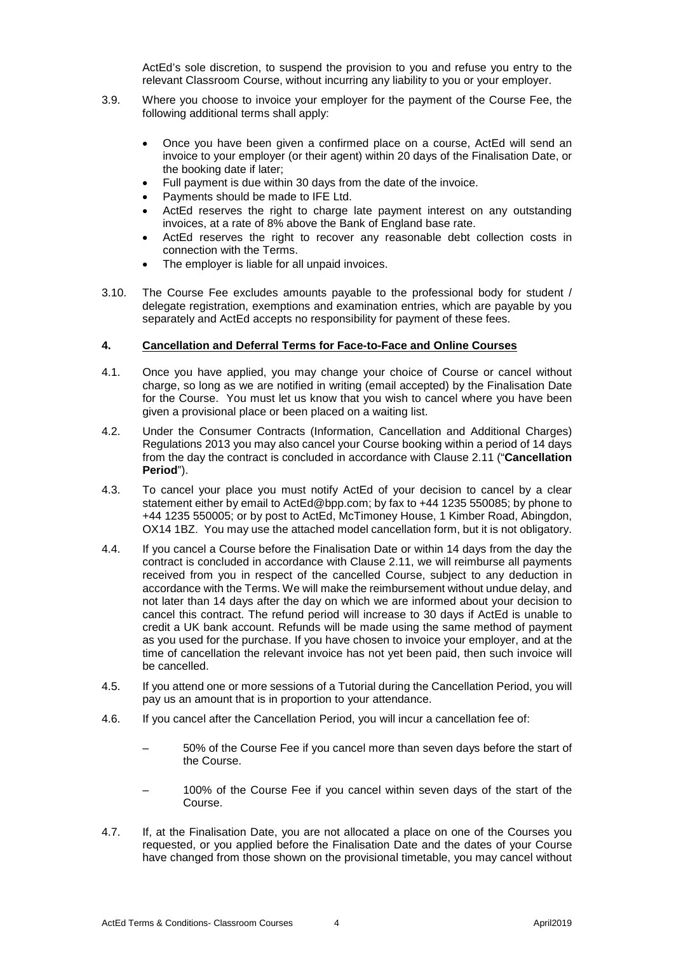ActEd's sole discretion, to suspend the provision to you and refuse you entry to the relevant Classroom Course, without incurring any liability to you or your employer.

- <span id="page-3-1"></span>3.9. Where you choose to invoice your employer for the payment of the Course Fee, the following additional terms shall apply:
	- Once you have been given a confirmed place on a course, ActEd will send an invoice to your employer (or their agent) within 20 days of the Finalisation Date, or the booking date if later;
	- Full payment is due within 30 days from the date of the invoice.
	- Payments should be made to IFE Ltd.
	- ActEd reserves the right to charge late payment interest on any outstanding invoices, at a rate of 8% above the Bank of England base rate.
	- ActEd reserves the right to recover any reasonable debt collection costs in connection with the Terms.
	- The employer is liable for all unpaid invoices.
- 3.10. The Course Fee excludes amounts payable to the professional body for student / delegate registration, exemptions and examination entries, which are payable by you separately and ActEd accepts no responsibility for payment of these fees.

# <span id="page-3-3"></span>**4. Cancellation and Deferral Terms for Face-to-Face and Online Courses**

- 4.1. Once you have applied, you may change your choice of Course or cancel without charge, so long as we are notified in writing (email accepted) by the Finalisation Date for the Course. You must let us know that you wish to cancel where you have been given a provisional place or been placed on a waiting list.
- <span id="page-3-0"></span>4.2. Under the Consumer Contracts (Information, Cancellation and Additional Charges) Regulations 2013 you may also cancel your Course booking within a period of 14 days from the day the contract is concluded in accordance with Clause [2.11](#page-2-1) ("**Cancellation Period**").
- 4.3. To cancel your place you must notify ActEd of your decision to cancel by a clear statement either by email to [ActEd@bpp.com;](mailto:ActEd@bpp.com) by fax to +44 1235 550085; by phone to +44 1235 550005; or by post to ActEd, McTimoney House, 1 Kimber Road, Abingdon, OX14 1BZ. You may use the attached model cancellation form, but it is not obligatory.
- <span id="page-3-2"></span>4.4. If you cancel a Course before the Finalisation Date or within 14 days from the day the contract is concluded in accordance with Clause [2.11,](#page-2-1) we will reimburse all payments received from you in respect of the cancelled Course, subject to any deduction in accordance with the Terms. We will make the reimbursement without undue delay, and not later than 14 days after the day on which we are informed about your decision to cancel this contract. The refund period will increase to 30 days if ActEd is unable to credit a UK bank account. Refunds will be made using the same method of payment as you used for the purchase. If you have chosen to invoice your employer, and at the time of cancellation the relevant invoice has not yet been paid, then such invoice will be cancelled.
- 4.5. If you attend one or more sessions of a Tutorial during the Cancellation Period, you will pay us an amount that is in proportion to your attendance.
- 4.6. If you cancel after the Cancellation Period, you will incur a cancellation fee of:
	- 50% of the Course Fee if you cancel more than seven days before the start of the Course.
	- 100% of the Course Fee if you cancel within seven days of the start of the Course.
- 4.7. If, at the Finalisation Date, you are not allocated a place on one of the Courses you requested, or you applied before the Finalisation Date and the dates of your Course have changed from those shown on the provisional timetable, you may cancel without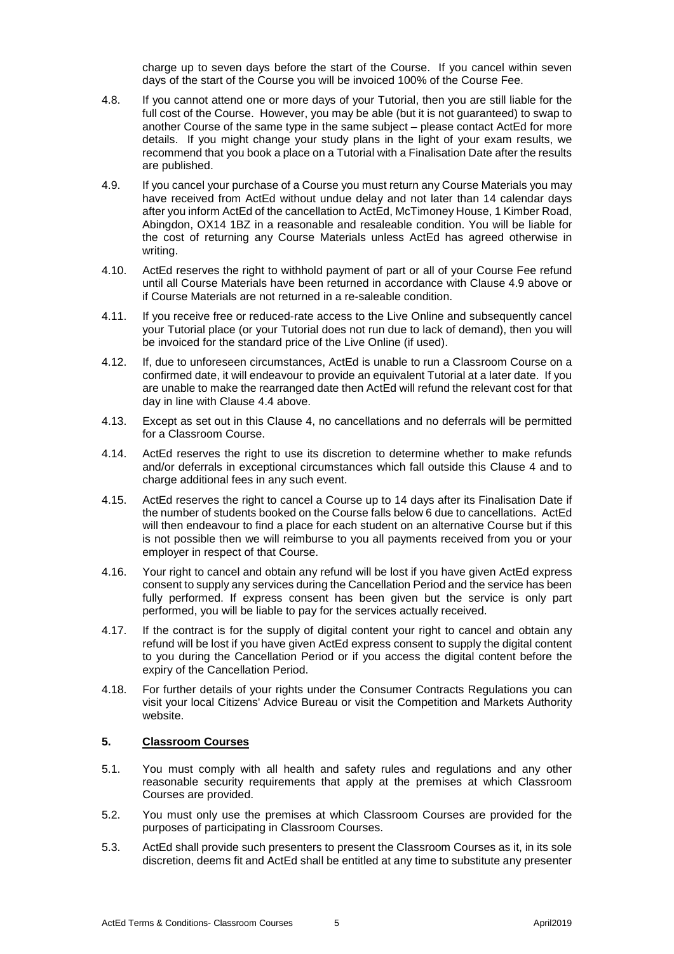charge up to seven days before the start of the Course. If you cancel within seven days of the start of the Course you will be invoiced 100% of the Course Fee.

- 4.8. If you cannot attend one or more days of your Tutorial, then you are still liable for the full cost of the Course. However, you may be able (but it is not guaranteed) to swap to another Course of the same type in the same subject – please contact ActEd for more details. If you might change your study plans in the light of your exam results, we recommend that you book a place on a Tutorial with a Finalisation Date after the results are published.
- <span id="page-4-0"></span>4.9. If you cancel your purchase of a Course you must return any Course Materials you may have received from ActEd without undue delay and not later than 14 calendar days after you inform ActEd of the cancellation to ActEd, McTimoney House, 1 Kimber Road, Abingdon, OX14 1BZ in a reasonable and resaleable condition. You will be liable for the cost of returning any Course Materials unless ActEd has agreed otherwise in writing.
- 4.10. ActEd reserves the right to withhold payment of part or all of your Course Fee refund until all Course Materials have been returned in accordance with Clause [4.9](#page-4-0) above or if Course Materials are not returned in a re-saleable condition.
- 4.11. If you receive free or reduced-rate access to the Live Online and subsequently cancel your Tutorial place (or your Tutorial does not run due to lack of demand), then you will be invoiced for the standard price of the Live Online (if used).
- 4.12. If, due to unforeseen circumstances, ActEd is unable to run a Classroom Course on a confirmed date, it will endeavour to provide an equivalent Tutorial at a later date. If you are unable to make the rearranged date then ActEd will refund the relevant cost for that day in line with Clause [4.4](#page-3-2) above.
- 4.13. Except as set out in this Clause [4,](#page-3-3) no cancellations and no deferrals will be permitted for a Classroom Course.
- 4.14. ActEd reserves the right to use its discretion to determine whether to make refunds and/or deferrals in exceptional circumstances which fall outside this Clause [4](#page-3-3) and to charge additional fees in any such event.
- 4.15. ActEd reserves the right to cancel a Course up to 14 days after its Finalisation Date if the number of students booked on the Course falls below 6 due to cancellations. ActEd will then endeavour to find a place for each student on an alternative Course but if this is not possible then we will reimburse to you all payments received from you or your employer in respect of that Course.
- 4.16. Your right to cancel and obtain any refund will be lost if you have given ActEd express consent to supply any services during the Cancellation Period and the service has been fully performed. If express consent has been given but the service is only part performed, you will be liable to pay for the services actually received.
- 4.17. If the contract is for the supply of digital content your right to cancel and obtain any refund will be lost if you have given ActEd express consent to supply the digital content to you during the Cancellation Period or if you access the digital content before the expiry of the Cancellation Period.
- 4.18. For further details of your rights under the Consumer Contracts Regulations you can visit your local Citizens' Advice Bureau or visit the Competition and Markets Authority website.

### **5. Classroom Courses**

- 5.1. You must comply with all health and safety rules and regulations and any other reasonable security requirements that apply at the premises at which Classroom Courses are provided.
- 5.2. You must only use the premises at which Classroom Courses are provided for the purposes of participating in Classroom Courses.
- 5.3. ActEd shall provide such presenters to present the Classroom Courses as it, in its sole discretion, deems fit and ActEd shall be entitled at any time to substitute any presenter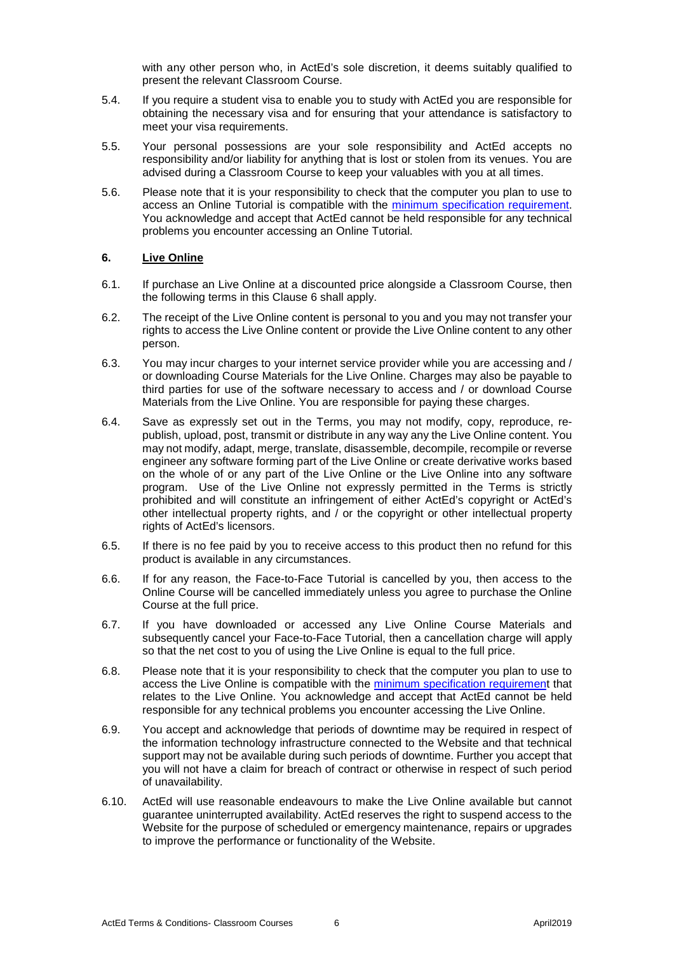with any other person who, in ActEd's sole discretion, it deems suitably qualified to present the relevant Classroom Course.

- 5.4. If you require a student visa to enable you to study with ActEd you are responsible for obtaining the necessary visa and for ensuring that your attendance is satisfactory to meet your visa requirements.
- 5.5. Your personal possessions are your sole responsibility and ActEd accepts no responsibility and/or liability for anything that is lost or stolen from its venues. You are advised during a Classroom Course to keep your valuables with you at all times.
- 5.6. Please note that it is your responsibility to check that the computer you plan to use to access an Online Tutorial is compatible with the [minimum specification requirement.](http://www.acted.co.uk/Html/online_classroom_live.htm) You acknowledge and accept that ActEd cannot be held responsible for any technical problems you encounter accessing an Online Tutorial.

#### **6. Live Online**

- 6.1. If purchase an Live Online at a discounted price alongside a Classroom Course, then the following terms in this Clause 6 shall apply.
- 6.2. The receipt of the Live Online content is personal to you and you may not transfer your rights to access the Live Online content or provide the Live Online content to any other person.
- 6.3. You may incur charges to your internet service provider while you are accessing and / or downloading Course Materials for the Live Online. Charges may also be payable to third parties for use of the software necessary to access and / or download Course Materials from the Live Online. You are responsible for paying these charges.
- 6.4. Save as expressly set out in the Terms, you may not modify, copy, reproduce, republish, upload, post, transmit or distribute in any way any the Live Online content. You may not modify, adapt, merge, translate, disassemble, decompile, recompile or reverse engineer any software forming part of the Live Online or create derivative works based on the whole of or any part of the Live Online or the Live Online into any software program. Use of the Live Online not expressly permitted in the Terms is strictly prohibited and will constitute an infringement of either ActEd's copyright or ActEd's other intellectual property rights, and / or the copyright or other intellectual property rights of ActEd's licensors.
- 6.5. If there is no fee paid by you to receive access to this product then no refund for this product is available in any circumstances.
- 6.6. If for any reason, the Face-to-Face Tutorial is cancelled by you, then access to the Online Course will be cancelled immediately unless you agree to purchase the Online Course at the full price.
- 6.7. If you have downloaded or accessed any Live Online Course Materials and subsequently cancel your Face-to-Face Tutorial, then a cancellation charge will apply so that the net cost to you of using the Live Online is equal to the full price.
- 6.8. Please note that it is your responsibility to check that the computer you plan to use to access the Live Online is compatible with the [minimum specification requirement](https://learn.bpp.com/lms/content/pages/support.html#QB1) that relates to the Live Online. You acknowledge and accept that ActEd cannot be held responsible for any technical problems you encounter accessing the Live Online.
- 6.9. You accept and acknowledge that periods of downtime may be required in respect of the information technology infrastructure connected to the Website and that technical support may not be available during such periods of downtime. Further you accept that you will not have a claim for breach of contract or otherwise in respect of such period of unavailability.
- 6.10. ActEd will use reasonable endeavours to make the Live Online available but cannot guarantee uninterrupted availability. ActEd reserves the right to suspend access to the Website for the purpose of scheduled or emergency maintenance, repairs or upgrades to improve the performance or functionality of the Website.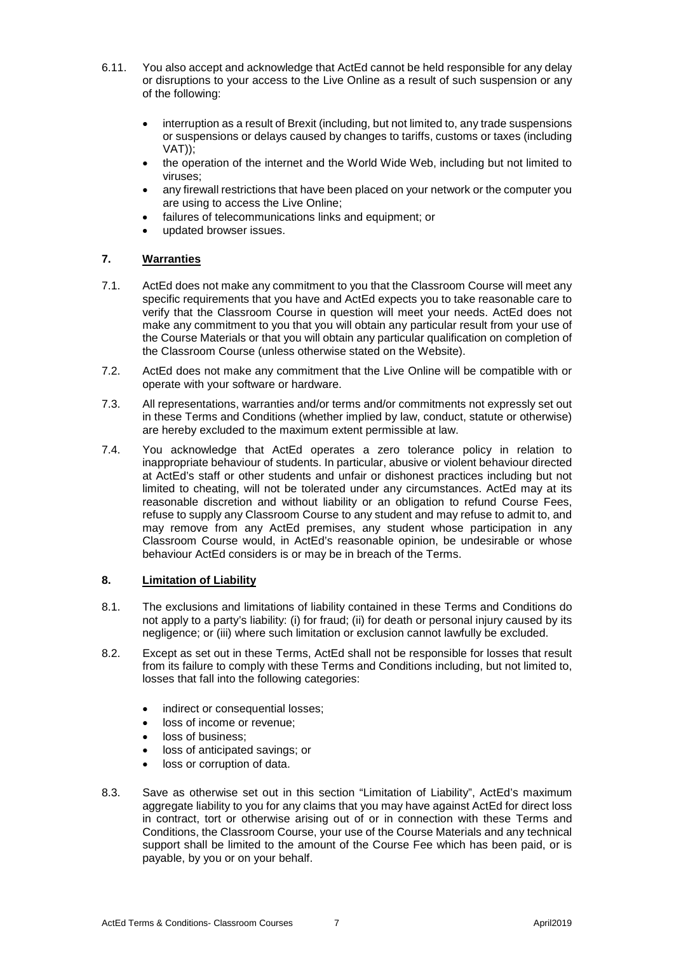- 6.11. You also accept and acknowledge that ActEd cannot be held responsible for any delay or disruptions to your access to the Live Online as a result of such suspension or any of the following:
	- interruption as a result of Brexit (including, but not limited to, any trade suspensions or suspensions or delays caused by changes to tariffs, customs or taxes (including VAT));
	- the operation of the internet and the World Wide Web, including but not limited to viruses;
	- any firewall restrictions that have been placed on your network or the computer you are using to access the Live Online;
	- failures of telecommunications links and equipment; or
	- updated browser issues.

# **7. Warranties**

- 7.1. ActEd does not make any commitment to you that the Classroom Course will meet any specific requirements that you have and ActEd expects you to take reasonable care to verify that the Classroom Course in question will meet your needs. ActEd does not make any commitment to you that you will obtain any particular result from your use of the Course Materials or that you will obtain any particular qualification on completion of the Classroom Course (unless otherwise stated on the Website).
- 7.2. ActEd does not make any commitment that the Live Online will be compatible with or operate with your software or hardware.
- 7.3. All representations, warranties and/or terms and/or commitments not expressly set out in these Terms and Conditions (whether implied by law, conduct, statute or otherwise) are hereby excluded to the maximum extent permissible at law.
- 7.4. You acknowledge that ActEd operates a zero tolerance policy in relation to inappropriate behaviour of students. In particular, abusive or violent behaviour directed at ActEd's staff or other students and unfair or dishonest practices including but not limited to cheating, will not be tolerated under any circumstances. ActEd may at its reasonable discretion and without liability or an obligation to refund Course Fees, refuse to supply any Classroom Course to any student and may refuse to admit to, and may remove from any ActEd premises, any student whose participation in any Classroom Course would, in ActEd's reasonable opinion, be undesirable or whose behaviour ActEd considers is or may be in breach of the Terms.

# <span id="page-6-0"></span>**8. Limitation of Liability**

- 8.1. The exclusions and limitations of liability contained in these Terms and Conditions do not apply to a party's liability: (i) for fraud; (ii) for death or personal injury caused by its negligence; or (iii) where such limitation or exclusion cannot lawfully be excluded.
- 8.2. Except as set out in these Terms, ActEd shall not be responsible for losses that result from its failure to comply with these Terms and Conditions including, but not limited to, losses that fall into the following categories:
	- indirect or consequential losses;
	- loss of income or revenue;
	- loss of business;
	- loss of anticipated savings; or
	- loss or corruption of data.
- 8.3. Save as otherwise set out in this section "Limitation of Liability", ActEd's maximum aggregate liability to you for any claims that you may have against ActEd for direct loss in contract, tort or otherwise arising out of or in connection with these Terms and Conditions, the Classroom Course, your use of the Course Materials and any technical support shall be limited to the amount of the Course Fee which has been paid, or is payable, by you or on your behalf.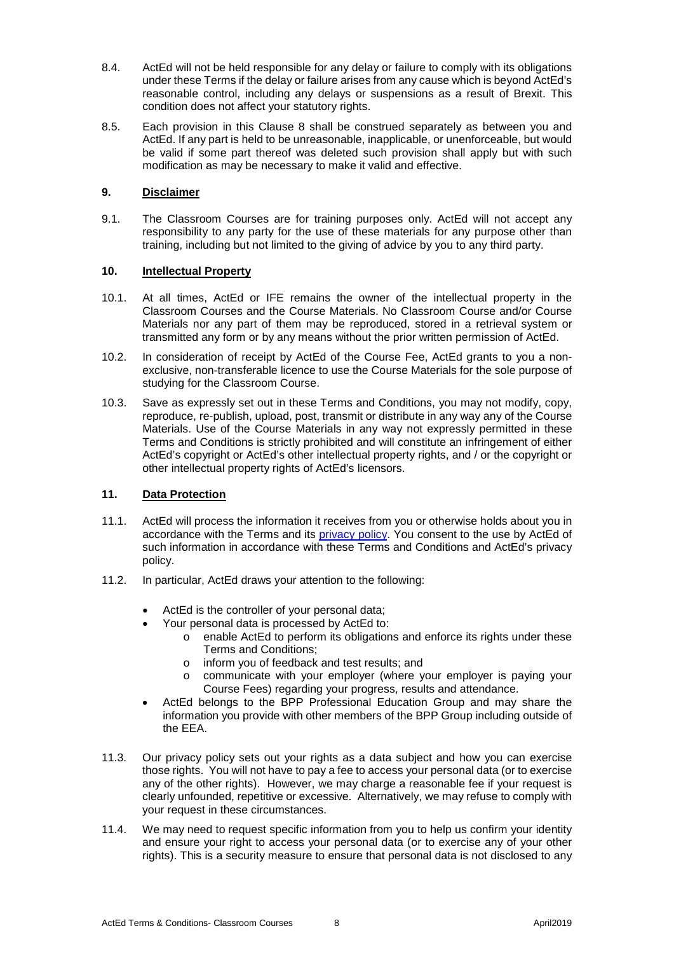- 8.4. ActEd will not be held responsible for any delay or failure to comply with its obligations under these Terms if the delay or failure arises from any cause which is beyond ActEd's reasonable control, including any delays or suspensions as a result of Brexit. This condition does not affect your statutory rights.
- 8.5. Each provision in this Clause [8](#page-6-0) shall be construed separately as between you and ActEd. If any part is held to be unreasonable, inapplicable, or unenforceable, but would be valid if some part thereof was deleted such provision shall apply but with such modification as may be necessary to make it valid and effective.

# **9. Disclaimer**

9.1. The Classroom Courses are for training purposes only. ActEd will not accept any responsibility to any party for the use of these materials for any purpose other than training, including but not limited to the giving of advice by you to any third party.

# **10. Intellectual Property**

- 10.1. At all times, ActEd or IFE remains the owner of the intellectual property in the Classroom Courses and the Course Materials. No Classroom Course and/or Course Materials nor any part of them may be reproduced, stored in a retrieval system or transmitted any form or by any means without the prior written permission of ActEd.
- 10.2. In consideration of receipt by ActEd of the Course Fee, ActEd grants to you a nonexclusive, non-transferable licence to use the Course Materials for the sole purpose of studying for the Classroom Course.
- 10.3. Save as expressly set out in these Terms and Conditions, you may not modify, copy, reproduce, re-publish, upload, post, transmit or distribute in any way any of the Course Materials. Use of the Course Materials in any way not expressly permitted in these Terms and Conditions is strictly prohibited and will constitute an infringement of either ActEd's copyright or ActEd's other intellectual property rights, and / or the copyright or other intellectual property rights of ActEd's licensors.

# **11. Data Protection**

- 11.1. ActEd will process the information it receives from you or otherwise holds about you in accordance with the Terms and its [privacy policy.](https://www.bpp.com/privacy) You consent to the use by ActEd of such information in accordance with these Terms and Conditions and ActEd's privacy policy.
- 11.2. In particular, ActEd draws your attention to the following:
	- ActEd is the controller of your personal data;
	- Your personal data is processed by ActEd to:
		- o enable ActEd to perform its obligations and enforce its rights under these Terms and Conditions;
		- $\circ$  inform you of feedback and test results; and  $\circ$  communicate with your employer (where you
		- communicate with your employer (where your employer is paying your Course Fees) regarding your progress, results and attendance.
	- ActEd belongs to the BPP Professional Education Group and may share the information you provide with other members of the BPP Group including outside of the EEA.
- 11.3. Our privacy policy sets out your rights as a data subject and how you can exercise those rights. You will not have to pay a fee to access your personal data (or to exercise any of the other rights). However, we may charge a reasonable fee if your request is clearly unfounded, repetitive or excessive. Alternatively, we may refuse to comply with your request in these circumstances.
- 11.4. We may need to request specific information from you to help us confirm your identity and ensure your right to access your personal data (or to exercise any of your other rights). This is a security measure to ensure that personal data is not disclosed to any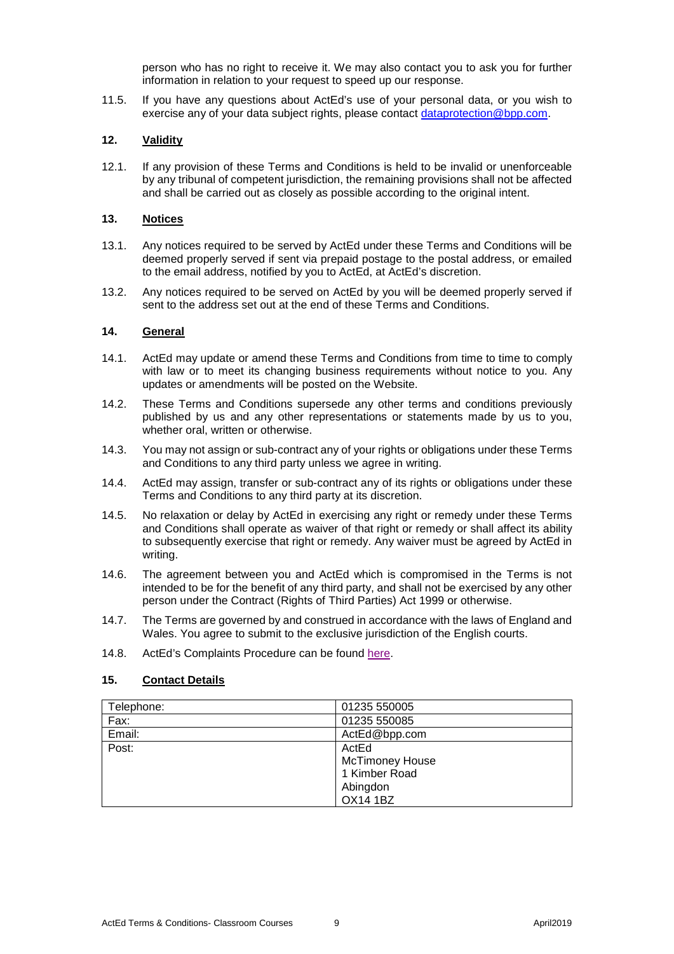person who has no right to receive it. We may also contact you to ask you for further information in relation to your request to speed up our response.

11.5. If you have any questions about ActEd's use of your personal data, or you wish to exercise any of your data subject rights, please contact [dataprotection@bpp.com.](mailto:dataprotection@bpp.com)

# **12. Validity**

12.1. If any provision of these Terms and Conditions is held to be invalid or unenforceable by any tribunal of competent jurisdiction, the remaining provisions shall not be affected and shall be carried out as closely as possible according to the original intent.

#### **13. Notices**

- 13.1. Any notices required to be served by ActEd under these Terms and Conditions will be deemed properly served if sent via prepaid postage to the postal address, or emailed to the email address, notified by you to ActEd, at ActEd's discretion.
- 13.2. Any notices required to be served on ActEd by you will be deemed properly served if sent to the address set out at the end of these Terms and Conditions.

# **14. General**

- 14.1. ActEd may update or amend these Terms and Conditions from time to time to comply with law or to meet its changing business requirements without notice to you. Any updates or amendments will be posted on the Website.
- 14.2. These Terms and Conditions supersede any other terms and conditions previously published by us and any other representations or statements made by us to you, whether oral, written or otherwise.
- 14.3. You may not assign or sub-contract any of your rights or obligations under these Terms and Conditions to any third party unless we agree in writing.
- 14.4. ActEd may assign, transfer or sub-contract any of its rights or obligations under these Terms and Conditions to any third party at its discretion.
- 14.5. No relaxation or delay by ActEd in exercising any right or remedy under these Terms and Conditions shall operate as waiver of that right or remedy or shall affect its ability to subsequently exercise that right or remedy. Any waiver must be agreed by ActEd in writing.
- 14.6. The agreement between you and ActEd which is compromised in the Terms is not intended to be for the benefit of any third party, and shall not be exercised by any other person under the Contract (Rights of Third Parties) Act 1999 or otherwise.
- 14.7. The Terms are governed by and construed in accordance with the laws of England and Wales. You agree to submit to the exclusive jurisdiction of the English courts.
- 14.8. ActEd's Complaints Procedure can be found [here.](http://www.acted.co.uk/Html/terms_conditions.htm)

# **15. Contact Details**

| Telephone: | 01235 550005           |
|------------|------------------------|
| Fax:       | 01235 550085           |
| Email:     | ActEd@bpp.com          |
| Post:      | ActEd                  |
|            | <b>McTimoney House</b> |
|            | 1 Kimber Road          |
|            | Abingdon               |
|            | <b>OX14 1BZ</b>        |